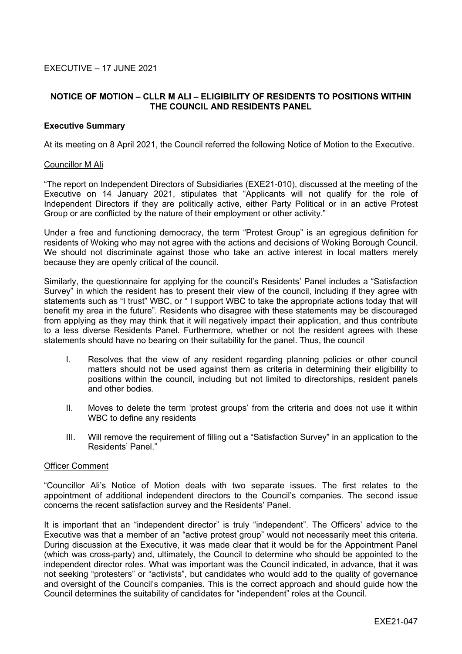# **NOTICE OF MOTION – CLLR M ALI – ELIGIBILITY OF RESIDENTS TO POSITIONS WITHIN THE COUNCIL AND RESIDENTS PANEL**

### **Executive Summary**

At its meeting on 8 April 2021, the Council referred the following Notice of Motion to the Executive.

### Councillor M Ali

"The report on Independent Directors of Subsidiaries (EXE21-010), discussed at the meeting of the Executive on 14 January 2021, stipulates that "Applicants will not qualify for the role of Independent Directors if they are politically active, either Party Political or in an active Protest Group or are conflicted by the nature of their employment or other activity."

Under a free and functioning democracy, the term "Protest Group" is an egregious definition for residents of Woking who may not agree with the actions and decisions of Woking Borough Council. We should not discriminate against those who take an active interest in local matters merely because they are openly critical of the council.

Similarly, the questionnaire for applying for the council's Residents' Panel includes a "Satisfaction Survey" in which the resident has to present their view of the council, including if they agree with statements such as "I trust" WBC, or " I support WBC to take the appropriate actions today that will benefit my area in the future". Residents who disagree with these statements may be discouraged from applying as they may think that it will negatively impact their application, and thus contribute to a less diverse Residents Panel. Furthermore, whether or not the resident agrees with these statements should have no bearing on their suitability for the panel. Thus, the council

- I. Resolves that the view of any resident regarding planning policies or other council matters should not be used against them as criteria in determining their eligibility to positions within the council, including but not limited to directorships, resident panels and other bodies.
- II. Moves to delete the term 'protest groups' from the criteria and does not use it within WBC to define any residents
- III. Will remove the requirement of filling out a "Satisfaction Survey" in an application to the Residents' Panel."

### Officer Comment

"Councillor Ali's Notice of Motion deals with two separate issues. The first relates to the appointment of additional independent directors to the Council's companies. The second issue concerns the recent satisfaction survey and the Residents' Panel.

It is important that an "independent director" is truly "independent". The Officers' advice to the Executive was that a member of an "active protest group" would not necessarily meet this criteria. During discussion at the Executive, it was made clear that it would be for the Appointment Panel (which was cross-party) and, ultimately, the Council to determine who should be appointed to the independent director roles. What was important was the Council indicated, in advance, that it was not seeking "protesters" or "activists", but candidates who would add to the quality of governance and oversight of the Council's companies. This is the correct approach and should guide how the Council determines the suitability of candidates for "independent" roles at the Council.